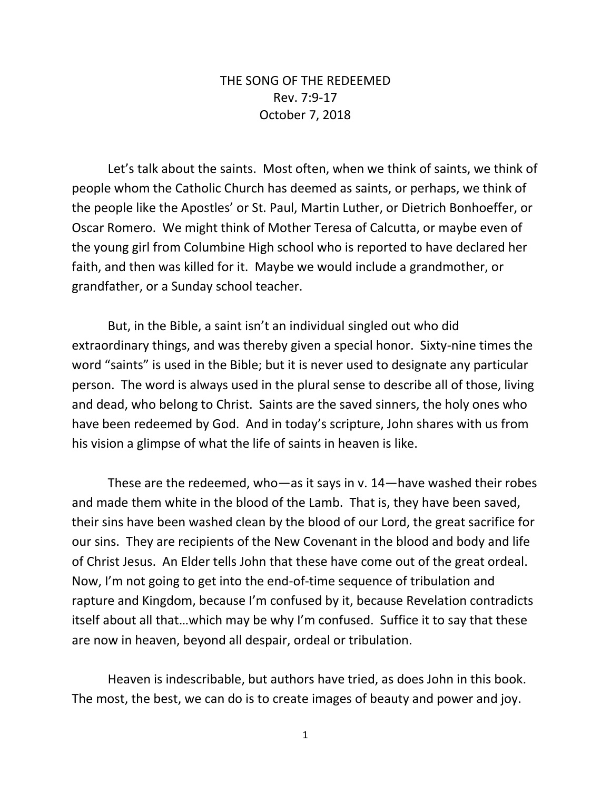## THE SONG OF THE REDEEMED Rev. 7:9-17 October 7, 2018

Let's talk about the saints. Most often, when we think of saints, we think of people whom the Catholic Church has deemed as saints, or perhaps, we think of the people like the Apostles' or St. Paul, Martin Luther, or Dietrich Bonhoeffer, or Oscar Romero. We might think of Mother Teresa of Calcutta, or maybe even of the young girl from Columbine High school who is reported to have declared her faith, and then was killed for it. Maybe we would include a grandmother, or grandfather, or a Sunday school teacher.

But, in the Bible, a saint isn't an individual singled out who did extraordinary things, and was thereby given a special honor. Sixty-nine times the word "saints" is used in the Bible; but it is never used to designate any particular person. The word is always used in the plural sense to describe all of those, living and dead, who belong to Christ. Saints are the saved sinners, the holy ones who have been redeemed by God. And in today's scripture, John shares with us from his vision a glimpse of what the life of saints in heaven is like.

These are the redeemed, who—as it says in v. 14—have washed their robes and made them white in the blood of the Lamb. That is, they have been saved, their sins have been washed clean by the blood of our Lord, the great sacrifice for our sins. They are recipients of the New Covenant in the blood and body and life of Christ Jesus. An Elder tells John that these have come out of the great ordeal. Now, I'm not going to get into the end-of-time sequence of tribulation and rapture and Kingdom, because I'm confused by it, because Revelation contradicts itself about all that…which may be why I'm confused. Suffice it to say that these are now in heaven, beyond all despair, ordeal or tribulation.

Heaven is indescribable, but authors have tried, as does John in this book. The most, the best, we can do is to create images of beauty and power and joy.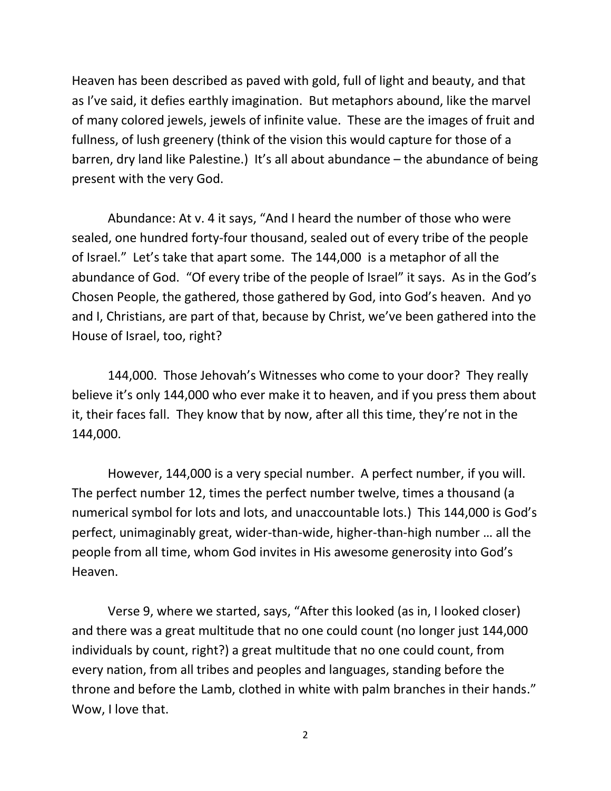Heaven has been described as paved with gold, full of light and beauty, and that as I've said, it defies earthly imagination. But metaphors abound, like the marvel of many colored jewels, jewels of infinite value. These are the images of fruit and fullness, of lush greenery (think of the vision this would capture for those of a barren, dry land like Palestine.) It's all about abundance – the abundance of being present with the very God.

Abundance: At v. 4 it says, "And I heard the number of those who were sealed, one hundred forty-four thousand, sealed out of every tribe of the people of Israel." Let's take that apart some. The 144,000 is a metaphor of all the abundance of God. "Of every tribe of the people of Israel" it says. As in the God's Chosen People, the gathered, those gathered by God, into God's heaven. And yo and I, Christians, are part of that, because by Christ, we've been gathered into the House of Israel, too, right?

144,000. Those Jehovah's Witnesses who come to your door? They really believe it's only 144,000 who ever make it to heaven, and if you press them about it, their faces fall. They know that by now, after all this time, they're not in the 144,000.

However, 144,000 is a very special number. A perfect number, if you will. The perfect number 12, times the perfect number twelve, times a thousand (a numerical symbol for lots and lots, and unaccountable lots.) This 144,000 is God's perfect, unimaginably great, wider-than-wide, higher-than-high number … all the people from all time, whom God invites in His awesome generosity into God's Heaven.

Verse 9, where we started, says, "After this looked (as in, I looked closer) and there was a great multitude that no one could count (no longer just 144,000 individuals by count, right?) a great multitude that no one could count, from every nation, from all tribes and peoples and languages, standing before the throne and before the Lamb, clothed in white with palm branches in their hands." Wow, I love that.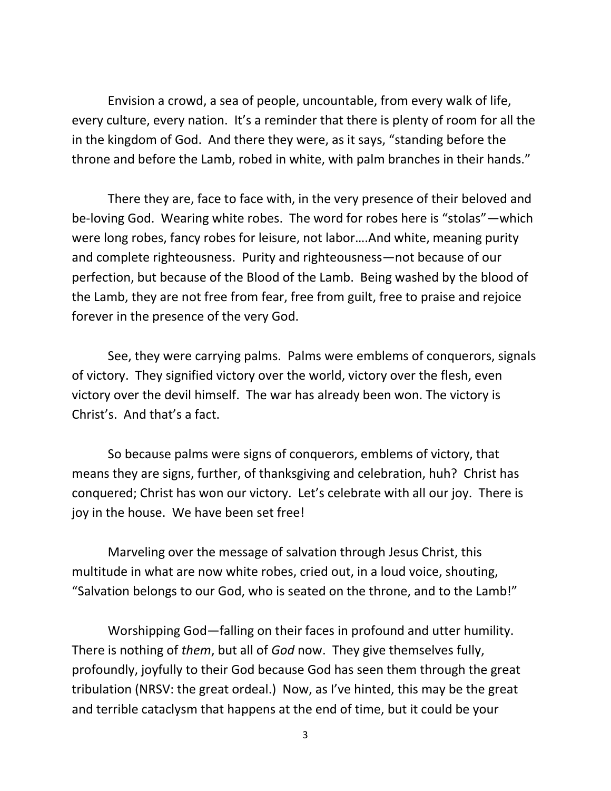Envision a crowd, a sea of people, uncountable, from every walk of life, every culture, every nation. It's a reminder that there is plenty of room for all the in the kingdom of God. And there they were, as it says, "standing before the throne and before the Lamb, robed in white, with palm branches in their hands."

There they are, face to face with, in the very presence of their beloved and be-loving God. Wearing white robes. The word for robes here is "stolas"—which were long robes, fancy robes for leisure, not labor….And white, meaning purity and complete righteousness. Purity and righteousness—not because of our perfection, but because of the Blood of the Lamb. Being washed by the blood of the Lamb, they are not free from fear, free from guilt, free to praise and rejoice forever in the presence of the very God.

See, they were carrying palms. Palms were emblems of conquerors, signals of victory. They signified victory over the world, victory over the flesh, even victory over the devil himself. The war has already been won. The victory is Christ's. And that's a fact.

So because palms were signs of conquerors, emblems of victory, that means they are signs, further, of thanksgiving and celebration, huh? Christ has conquered; Christ has won our victory. Let's celebrate with all our joy. There is joy in the house. We have been set free!

Marveling over the message of salvation through Jesus Christ, this multitude in what are now white robes, cried out, in a loud voice, shouting, "Salvation belongs to our God, who is seated on the throne, and to the Lamb!"

Worshipping God—falling on their faces in profound and utter humility. There is nothing of *them*, but all of *God* now. They give themselves fully, profoundly, joyfully to their God because God has seen them through the great tribulation (NRSV: the great ordeal.) Now, as I've hinted, this may be the great and terrible cataclysm that happens at the end of time, but it could be your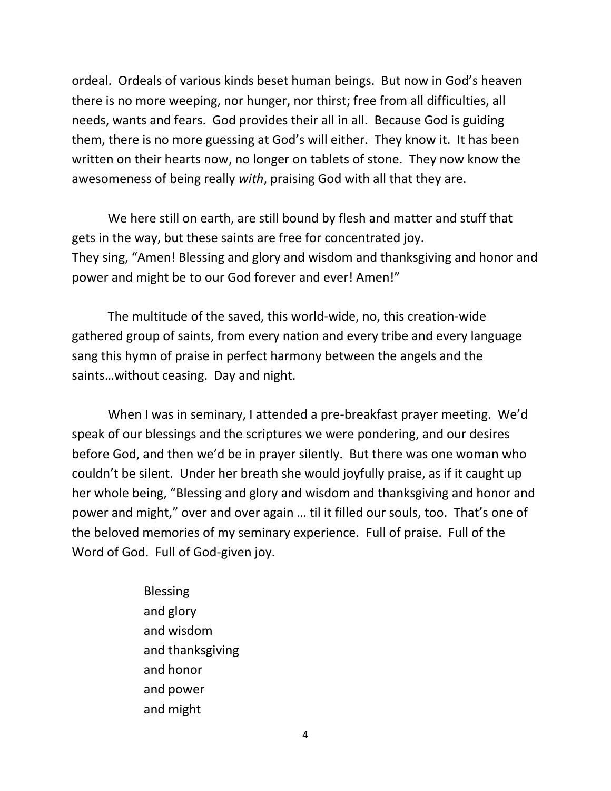ordeal. Ordeals of various kinds beset human beings. But now in God's heaven there is no more weeping, nor hunger, nor thirst; free from all difficulties, all needs, wants and fears. God provides their all in all. Because God is guiding them, there is no more guessing at God's will either. They know it. It has been written on their hearts now, no longer on tablets of stone. They now know the awesomeness of being really *with*, praising God with all that they are.

We here still on earth, are still bound by flesh and matter and stuff that gets in the way, but these saints are free for concentrated joy. They sing, "Amen! Blessing and glory and wisdom and thanksgiving and honor and power and might be to our God forever and ever! Amen!"

The multitude of the saved, this world-wide, no, this creation-wide gathered group of saints, from every nation and every tribe and every language sang this hymn of praise in perfect harmony between the angels and the saints…without ceasing. Day and night.

When I was in seminary, I attended a pre-breakfast prayer meeting. We'd speak of our blessings and the scriptures we were pondering, and our desires before God, and then we'd be in prayer silently. But there was one woman who couldn't be silent. Under her breath she would joyfully praise, as if it caught up her whole being, "Blessing and glory and wisdom and thanksgiving and honor and power and might," over and over again … til it filled our souls, too. That's one of the beloved memories of my seminary experience. Full of praise. Full of the Word of God. Full of God-given joy.

> Blessing and glory and wisdom and thanksgiving and honor and power and might